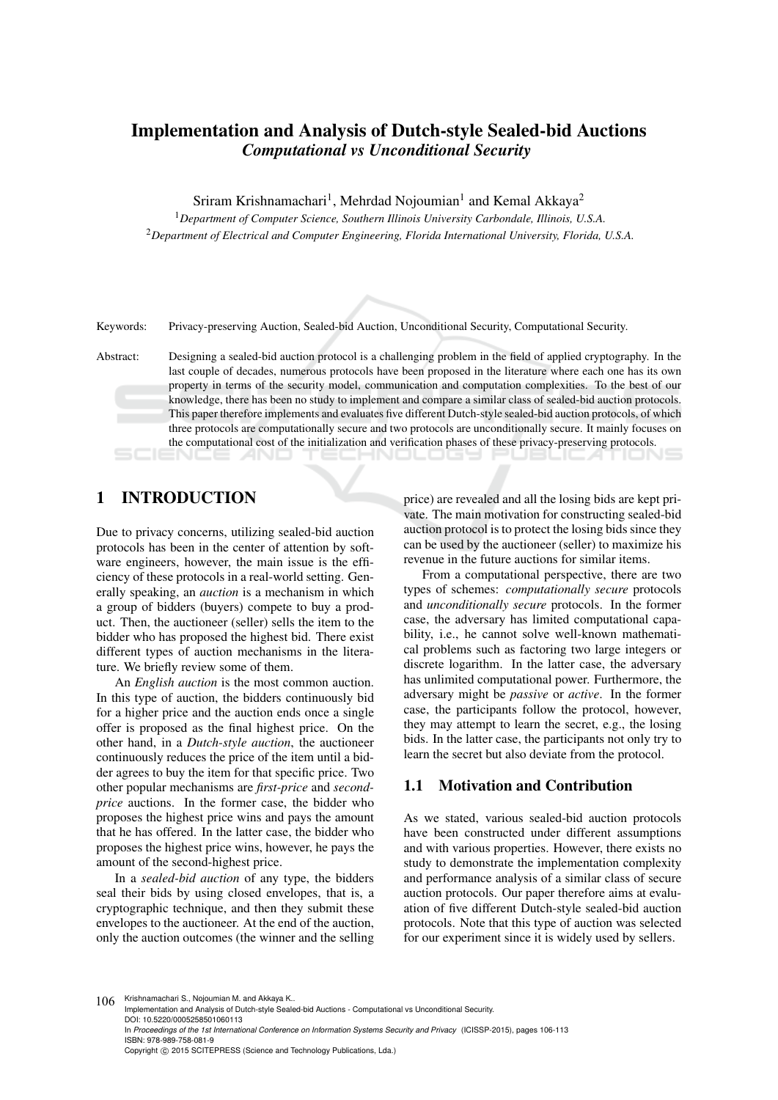# Implementation and Analysis of Dutch-style Sealed-bid Auctions *Computational vs Unconditional Security*

Sriram Krishnamachari<sup>1</sup>, Mehrdad Nojoumian<sup>1</sup> and Kemal Akkaya<sup>2</sup>

<sup>1</sup>*Department of Computer Science, Southern Illinois University Carbondale, Illinois, U.S.A.* <sup>2</sup>*Department of Electrical and Computer Engineering, Florida International University, Florida, U.S.A.*

Keywords: Privacy-preserving Auction, Sealed-bid Auction, Unconditional Security, Computational Security.

Abstract: Designing a sealed-bid auction protocol is a challenging problem in the field of applied cryptography. In the last couple of decades, numerous protocols have been proposed in the literature where each one has its own property in terms of the security model, communication and computation complexities. To the best of our knowledge, there has been no study to implement and compare a similar class of sealed-bid auction protocols. This paper therefore implements and evaluates five different Dutch-style sealed-bid auction protocols, of which three protocols are computationally secure and two protocols are unconditionally secure. It mainly focuses on the computational cost of the initialization and verification phases of these privacy-preserving protocols.

## 1 INTRODUCTION

Due to privacy concerns, utilizing sealed-bid auction protocols has been in the center of attention by software engineers, however, the main issue is the efficiency of these protocols in a real-world setting. Generally speaking, an *auction* is a mechanism in which a group of bidders (buyers) compete to buy a product. Then, the auctioneer (seller) sells the item to the bidder who has proposed the highest bid. There exist different types of auction mechanisms in the literature. We briefly review some of them.

An *English auction* is the most common auction. In this type of auction, the bidders continuously bid for a higher price and the auction ends once a single offer is proposed as the final highest price. On the other hand, in a *Dutch-style auction*, the auctioneer continuously reduces the price of the item until a bidder agrees to buy the item for that specific price. Two other popular mechanisms are *first-price* and *secondprice* auctions. In the former case, the bidder who proposes the highest price wins and pays the amount that he has offered. In the latter case, the bidder who proposes the highest price wins, however, he pays the amount of the second-highest price.

In a *sealed-bid auction* of any type, the bidders seal their bids by using closed envelopes, that is, a cryptographic technique, and then they submit these envelopes to the auctioneer. At the end of the auction, only the auction outcomes (the winner and the selling

price) are revealed and all the losing bids are kept private. The main motivation for constructing sealed-bid auction protocol is to protect the losing bids since they can be used by the auctioneer (seller) to maximize his revenue in the future auctions for similar items.

From a computational perspective, there are two types of schemes: *computationally secure* protocols and *unconditionally secure* protocols. In the former case, the adversary has limited computational capability, i.e., he cannot solve well-known mathematical problems such as factoring two large integers or discrete logarithm. In the latter case, the adversary has unlimited computational power. Furthermore, the adversary might be *passive* or *active*. In the former case, the participants follow the protocol, however, they may attempt to learn the secret, e.g., the losing bids. In the latter case, the participants not only try to learn the secret but also deviate from the protocol.

### 1.1 Motivation and Contribution

As we stated, various sealed-bid auction protocols have been constructed under different assumptions and with various properties. However, there exists no study to demonstrate the implementation complexity and performance analysis of a similar class of secure auction protocols. Our paper therefore aims at evaluation of five different Dutch-style sealed-bid auction protocols. Note that this type of auction was selected for our experiment since it is widely used by sellers.

106 Krishnamachari S., Nojoumian M. and Akkaya K.

Implementation and Analysis of Dutch-style Sealed-bid Auctions - Computational vs Unconditional Security. DOI: 10.5220/0005258501060113

In *Proceedings of the 1st International Conference on Information Systems Security and Privacy* (ICISSP-2015), pages 106-113 ISBN: 978-989-758-081-9

Copyright © 2015 SCITEPRESS (Science and Technology Publications, Lda.)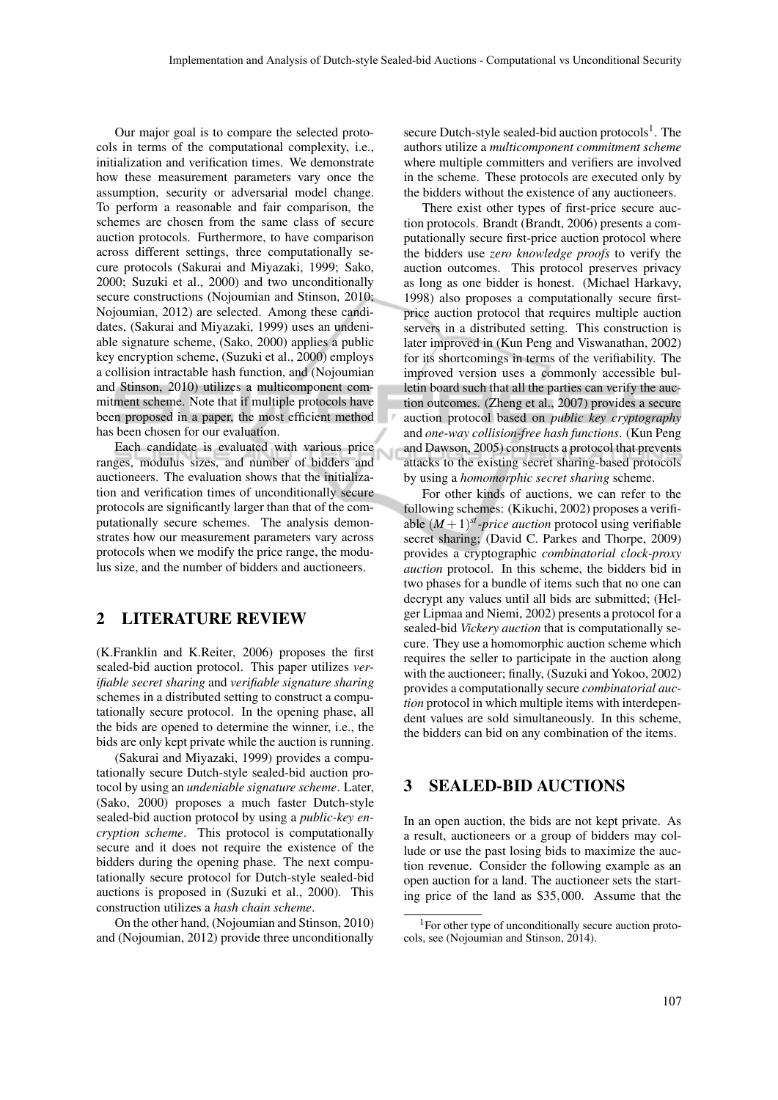Our major goal is to compare the selected protocols in terms of the computational complexity, i.e., initialization and verification times. We demonstrate how these measurement parameters vary once the assumption, security or adversarial model change. To perform a reasonable and fair comparison, the schemes are chosen from the same class of secure auction protocols. Furthermore, to have comparison across different settings, three computationally secure protocols (Sakurai and Miyazaki, 1999; Sako, 2000; Suzuki et al., 2000) and two unconditionally secure constructions (Nojoumian and Stinson, 2010; Nojoumian, 2012) are selected. Among these candidates, (Sakurai and Miyazaki, 1999) uses an undeniable signature scheme, (Sako, 2000) applies a public key encryption scheme, (Suzuki et al., 2000) employs a collision intractable hash function, and (Nojoumian and Stinson, 2010) utilizes a multicomponent commitment scheme. Note that if multiple protocols have been proposed in a paper, the most efficient method has been chosen for our evaluation.

Each candidate is evaluated with various price ranges, modulus sizes, and number of bidders and auctioneers. The evaluation shows that the initialization and verification times of unconditionally secure protocols are significantly larger than that of the computationally secure schemes. The analysis demonstrates how our measurement parameters vary across protocols when we modify the price range, the modulus size, and the number of bidders and auctioneers.

## 2 LITERATURE REVIEW

(K.Franklin and K.Reiter, 2006) proposes the first sealed-bid auction protocol. This paper utilizes *verifiable secret sharing* and *verifiable signature sharing* schemes in a distributed setting to construct a computationally secure protocol. In the opening phase, all the bids are opened to determine the winner, i.e., the bids are only kept private while the auction is running.

(Sakurai and Miyazaki, 1999) provides a computationally secure Dutch-style sealed-bid auction protocol by using an *undeniable signature scheme*. Later, (Sako, 2000) proposes a much faster Dutch-style sealed-bid auction protocol by using a *public-key encryption scheme*. This protocol is computationally secure and it does not require the existence of the bidders during the opening phase. The next computationally secure protocol for Dutch-style sealed-bid auctions is proposed in (Suzuki et al., 2000). This construction utilizes a *hash chain scheme*.

On the other hand, (Nojoumian and Stinson, 2010) and (Nojoumian, 2012) provide three unconditionally

secure Dutch-style sealed-bid auction protocols<sup>1</sup>. The authors utilize a *multicomponent commitment scheme* where multiple committers and verifiers are involved in the scheme. These protocols are executed only by the bidders without the existence of any auctioneers.

There exist other types of first-price secure auction protocols. Brandt (Brandt, 2006) presents a computationally secure first-price auction protocol where the bidders use *zero knowledge proofs* to verify the auction outcomes. This protocol preserves privacy as long as one bidder is honest. (Michael Harkavy, 1998) also proposes a computationally secure firstprice auction protocol that requires multiple auction servers in a distributed setting. This construction is later improved in (Kun Peng and Viswanathan, 2002) for its shortcomings in terms of the verifiability. The improved version uses a commonly accessible bulletin board such that all the parties can verify the auction outcomes. (Zheng et al., 2007) provides a secure auction protocol based on *public key cryptography* and *one-way collision-free hash functions*. (Kun Peng and Dawson, 2005) constructs a protocol that prevents attacks to the existing secret sharing-based protocols by using a *homomorphic secret sharing* scheme.

For other kinds of auctions, we can refer to the following schemes: (Kikuchi, 2002) proposes a verifiable  $(M + 1)^{st}$ *-price auction* protocol using verifiable secret sharing; (David C. Parkes and Thorpe, 2009) provides a cryptographic *combinatorial clock-proxy auction* protocol. In this scheme, the bidders bid in two phases for a bundle of items such that no one can decrypt any values until all bids are submitted; (Helger Lipmaa and Niemi, 2002) presents a protocol for a sealed-bid *Vickery auction* that is computationally secure. They use a homomorphic auction scheme which requires the seller to participate in the auction along with the auctioneer; finally, (Suzuki and Yokoo, 2002) provides a computationally secure *combinatorial auction* protocol in which multiple items with interdependent values are sold simultaneously. In this scheme, the bidders can bid on any combination of the items.

### 3 SEALED-BID AUCTIONS

In an open auction, the bids are not kept private. As a result, auctioneers or a group of bidders may collude or use the past losing bids to maximize the auction revenue. Consider the following example as an open auction for a land. The auctioneer sets the starting price of the land as \$35,000. Assume that the

<sup>1</sup>For other type of unconditionally secure auction protocols, see (Nojoumian and Stinson, 2014).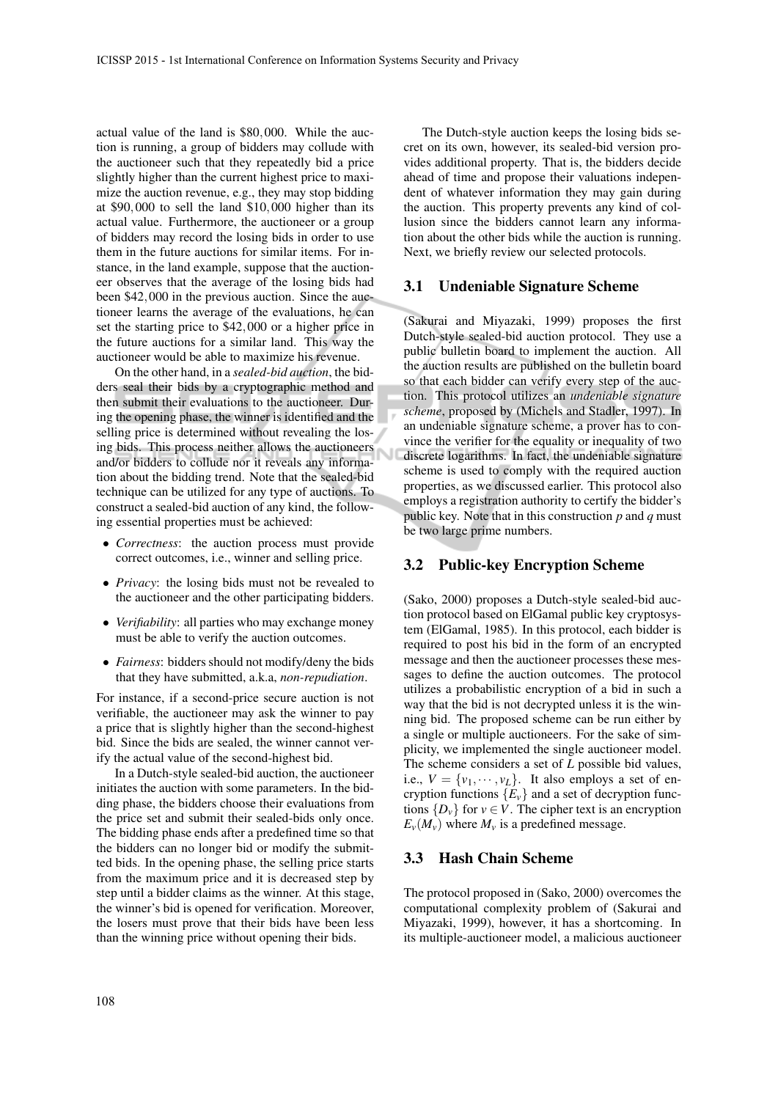actual value of the land is \$80,000. While the auction is running, a group of bidders may collude with the auctioneer such that they repeatedly bid a price slightly higher than the current highest price to maximize the auction revenue, e.g., they may stop bidding at \$90,000 to sell the land \$10,000 higher than its actual value. Furthermore, the auctioneer or a group of bidders may record the losing bids in order to use them in the future auctions for similar items. For instance, in the land example, suppose that the auctioneer observes that the average of the losing bids had been \$42,000 in the previous auction. Since the auctioneer learns the average of the evaluations, he can set the starting price to \$42,000 or a higher price in the future auctions for a similar land. This way the auctioneer would be able to maximize his revenue.

On the other hand, in a *sealed-bid auction*, the bidders seal their bids by a cryptographic method and then submit their evaluations to the auctioneer. During the opening phase, the winner is identified and the selling price is determined without revealing the losing bids. This process neither allows the auctioneers and/or bidders to collude nor it reveals any information about the bidding trend. Note that the sealed-bid technique can be utilized for any type of auctions. To construct a sealed-bid auction of any kind, the following essential properties must be achieved:

- *Correctness*: the auction process must provide correct outcomes, i.e., winner and selling price.
- *Privacy*: the losing bids must not be revealed to the auctioneer and the other participating bidders.
- *Verifiability*: all parties who may exchange money must be able to verify the auction outcomes.
- *Fairness*: bidders should not modify/deny the bids that they have submitted, a.k.a, *non-repudiation*.

For instance, if a second-price secure auction is not verifiable, the auctioneer may ask the winner to pay a price that is slightly higher than the second-highest bid. Since the bids are sealed, the winner cannot verify the actual value of the second-highest bid.

In a Dutch-style sealed-bid auction, the auctioneer initiates the auction with some parameters. In the bidding phase, the bidders choose their evaluations from the price set and submit their sealed-bids only once. The bidding phase ends after a predefined time so that the bidders can no longer bid or modify the submitted bids. In the opening phase, the selling price starts from the maximum price and it is decreased step by step until a bidder claims as the winner. At this stage, the winner's bid is opened for verification. Moreover, the losers must prove that their bids have been less than the winning price without opening their bids.

The Dutch-style auction keeps the losing bids secret on its own, however, its sealed-bid version provides additional property. That is, the bidders decide ahead of time and propose their valuations independent of whatever information they may gain during the auction. This property prevents any kind of collusion since the bidders cannot learn any information about the other bids while the auction is running. Next, we briefly review our selected protocols.

#### 3.1 Undeniable Signature Scheme

(Sakurai and Miyazaki, 1999) proposes the first Dutch-style sealed-bid auction protocol. They use a public bulletin board to implement the auction. All the auction results are published on the bulletin board so that each bidder can verify every step of the auction. This protocol utilizes an *undeniable signature scheme*, proposed by (Michels and Stadler, 1997). In an undeniable signature scheme, a prover has to convince the verifier for the equality or inequality of two discrete logarithms. In fact, the undeniable signature scheme is used to comply with the required auction properties, as we discussed earlier. This protocol also employs a registration authority to certify the bidder's public key. Note that in this construction *p* and *q* must be two large prime numbers.

#### 3.2 Public-key Encryption Scheme

(Sako, 2000) proposes a Dutch-style sealed-bid auction protocol based on ElGamal public key cryptosystem (ElGamal, 1985). In this protocol, each bidder is required to post his bid in the form of an encrypted message and then the auctioneer processes these messages to define the auction outcomes. The protocol utilizes a probabilistic encryption of a bid in such a way that the bid is not decrypted unless it is the winning bid. The proposed scheme can be run either by a single or multiple auctioneers. For the sake of simplicity, we implemented the single auctioneer model. The scheme considers a set of *L* possible bid values, i.e.,  $V = \{v_1, \dots, v_L\}$ . It also employs a set of encryption functions  ${E_v}$  and a set of decryption functions  $\{D_v\}$  for  $v \in V$ . The cipher text is an encryption  $E_v(M_v)$  where  $M_v$  is a predefined message.

#### 3.3 Hash Chain Scheme

The protocol proposed in (Sako, 2000) overcomes the computational complexity problem of (Sakurai and Miyazaki, 1999), however, it has a shortcoming. In its multiple-auctioneer model, a malicious auctioneer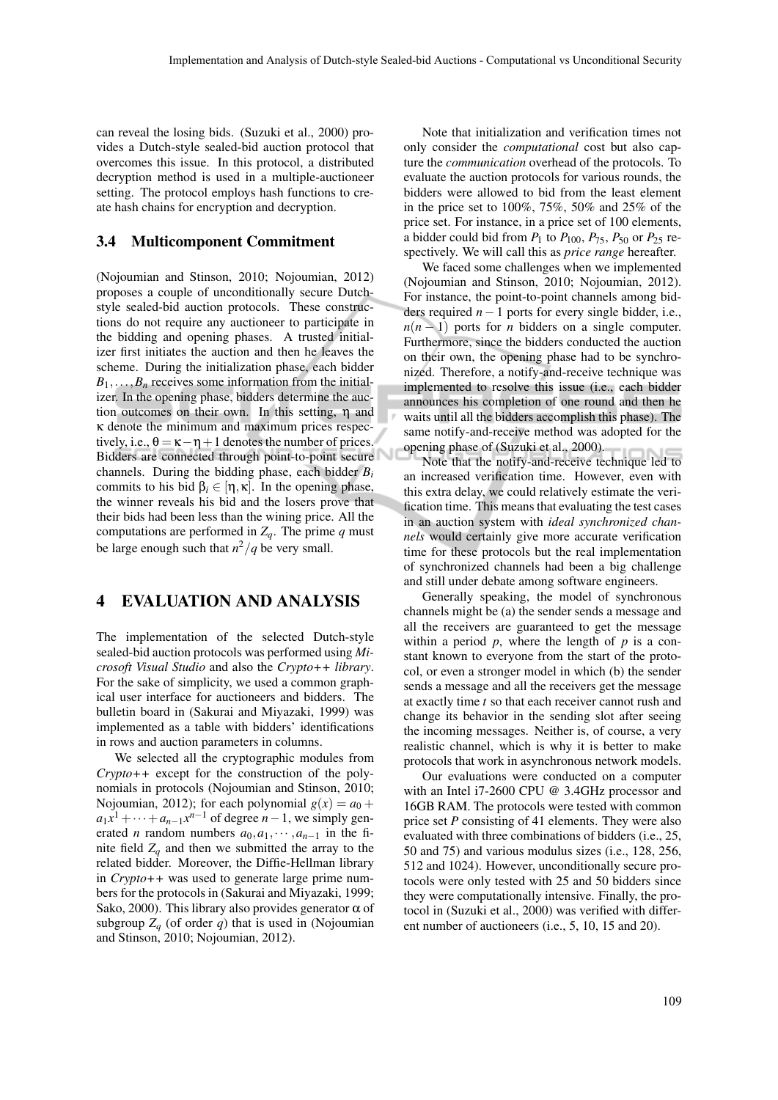can reveal the losing bids. (Suzuki et al., 2000) provides a Dutch-style sealed-bid auction protocol that overcomes this issue. In this protocol, a distributed decryption method is used in a multiple-auctioneer setting. The protocol employs hash functions to create hash chains for encryption and decryption.

#### 3.4 Multicomponent Commitment

(Nojoumian and Stinson, 2010; Nojoumian, 2012) proposes a couple of unconditionally secure Dutchstyle sealed-bid auction protocols. These constructions do not require any auctioneer to participate in the bidding and opening phases. A trusted initializer first initiates the auction and then he leaves the scheme. During the initialization phase, each bidder  $B_1$ ,..., $B_n$  receives some information from the initializer. In the opening phase, bidders determine the auction outcomes on their own. In this setting, η and κ denote the minimum and maximum prices respectively, i.e.,  $\theta = \kappa - \eta + 1$  denotes the number of prices. Bidders are connected through point-to-point secure channels. During the bidding phase, each bidder *B<sup>i</sup>* commits to his bid  $\beta_i \in [\eta, \kappa]$ . In the opening phase, the winner reveals his bid and the losers prove that their bids had been less than the wining price. All the computations are performed in  $Z_q$ . The prime  $q$  must be large enough such that  $n^2/q$  be very small.

### 4 EVALUATION AND ANALYSIS

The implementation of the selected Dutch-style sealed-bid auction protocols was performed using *Microsoft Visual Studio* and also the *Crypto++ library*. For the sake of simplicity, we used a common graphical user interface for auctioneers and bidders. The bulletin board in (Sakurai and Miyazaki, 1999) was implemented as a table with bidders' identifications in rows and auction parameters in columns.

We selected all the cryptographic modules from *Crypto++* except for the construction of the polynomials in protocols (Nojoumian and Stinson, 2010; Nojoumian, 2012); for each polynomial  $g(x) = a_0 +$  $a_1x^1 + \cdots + a_{n-1}x^{n-1}$  of degree *n* − 1, we simply generated *n* random numbers  $a_0, a_1, \dots, a_{n-1}$  in the finite field  $Z_q$  and then we submitted the array to the related bidder. Moreover, the Diffie-Hellman library in *Crypto++* was used to generate large prime numbers for the protocols in (Sakurai and Miyazaki, 1999; Sako, 2000). This library also provides generator  $\alpha$  of subgroup  $Z_q$  (of order  $q$ ) that is used in (Nojoumian and Stinson, 2010; Nojoumian, 2012).

Note that initialization and verification times not only consider the *computational* cost but also capture the *communication* overhead of the protocols. To evaluate the auction protocols for various rounds, the bidders were allowed to bid from the least element in the price set to 100%, 75%, 50% and 25% of the price set. For instance, in a price set of 100 elements, a bidder could bid from  $P_1$  to  $P_{100}$ ,  $P_{75}$ ,  $P_{50}$  or  $P_{25}$  respectively. We will call this as *price range* hereafter.

We faced some challenges when we implemented (Nojoumian and Stinson, 2010; Nojoumian, 2012). For instance, the point-to-point channels among bidders required *n*−1 ports for every single bidder, i.e.,  $n(n-1)$  ports for *n* bidders on a single computer. Furthermore, since the bidders conducted the auction on their own, the opening phase had to be synchronized. Therefore, a notify-and-receive technique was implemented to resolve this issue (i.e., each bidder announces his completion of one round and then he waits until all the bidders accomplish this phase). The same notify-and-receive method was adopted for the opening phase of (Suzuki et al., 2000).

Note that the notify-and-receive technique led to an increased verification time. However, even with this extra delay, we could relatively estimate the verification time. This means that evaluating the test cases in an auction system with *ideal synchronized channels* would certainly give more accurate verification time for these protocols but the real implementation of synchronized channels had been a big challenge and still under debate among software engineers.

Generally speaking, the model of synchronous channels might be (a) the sender sends a message and all the receivers are guaranteed to get the message within a period  $p$ , where the length of  $p$  is a constant known to everyone from the start of the protocol, or even a stronger model in which (b) the sender sends a message and all the receivers get the message at exactly time *t* so that each receiver cannot rush and change its behavior in the sending slot after seeing the incoming messages. Neither is, of course, a very realistic channel, which is why it is better to make protocols that work in asynchronous network models.

Our evaluations were conducted on a computer with an Intel i7-2600 CPU @ 3.4GHz processor and 16GB RAM. The protocols were tested with common price set *P* consisting of 41 elements. They were also evaluated with three combinations of bidders (i.e., 25, 50 and 75) and various modulus sizes (i.e., 128, 256, 512 and 1024). However, unconditionally secure protocols were only tested with 25 and 50 bidders since they were computationally intensive. Finally, the protocol in (Suzuki et al., 2000) was verified with different number of auctioneers (i.e., 5, 10, 15 and 20).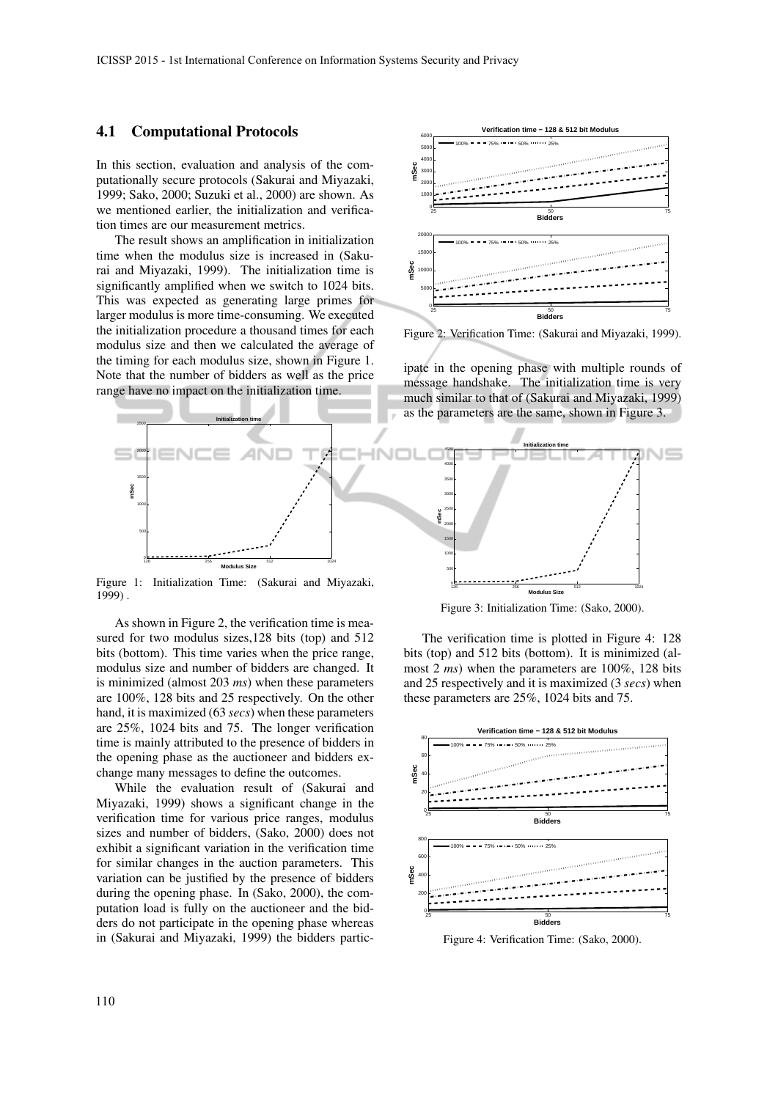#### 4.1 Computational Protocols

In this section, evaluation and analysis of the computationally secure protocols (Sakurai and Miyazaki, 1999; Sako, 2000; Suzuki et al., 2000) are shown. As we mentioned earlier, the initialization and verification times are our measurement metrics.

The result shows an amplification in initialization time when the modulus size is increased in (Sakurai and Miyazaki, 1999). The initialization time is significantly amplified when we switch to 1024 bits. This was expected as generating large primes for larger modulus is more time-consuming. We executed the initialization procedure a thousand times for each modulus size and then we calculated the average of the timing for each modulus size, shown in Figure 1. Note that the number of bidders as well as the price range have no impact on the initialization time.



Figure 2: Verification Time: (Sakurai and Miyazaki, 1999).

ipate in the opening phase with multiple rounds of message handshake. The initialization time is very much similar to that of (Sakurai and Miyazaki, 1999) as the parameters are the same, shown in Figure 3.



 $0<sup>2</sup>$ 

Figure 1: Initialization Time: (Sakurai and Miyazaki, 1999) .

As shown in Figure 2, the verification time is measured for two modulus sizes,128 bits (top) and 512 bits (bottom). This time varies when the price range, modulus size and number of bidders are changed. It is minimized (almost 203 *ms*) when these parameters are 100%, 128 bits and 25 respectively. On the other hand, it is maximized (63 *secs*) when these parameters are 25%, 1024 bits and 75. The longer verification time is mainly attributed to the presence of bidders in the opening phase as the auctioneer and bidders exchange many messages to define the outcomes.

While the evaluation result of (Sakurai and Miyazaki, 1999) shows a significant change in the verification time for various price ranges, modulus sizes and number of bidders, (Sako, 2000) does not exhibit a significant variation in the verification time for similar changes in the auction parameters. This variation can be justified by the presence of bidders during the opening phase. In (Sako, 2000), the computation load is fully on the auctioneer and the bidders do not participate in the opening phase whereas in (Sakurai and Miyazaki, 1999) the bidders partic-

128 256 512 1024 **Modulus Size** Figure 3: Initialization Time: (Sako, 2000).

The verification time is plotted in Figure 4: 128 bits (top) and 512 bits (bottom). It is minimized (almost 2 *ms*) when the parameters are 100%, 128 bits and 25 respectively and it is maximized (3 *secs*) when these parameters are 25%, 1024 bits and 75.



Figure 4: Verification Time: (Sako, 2000).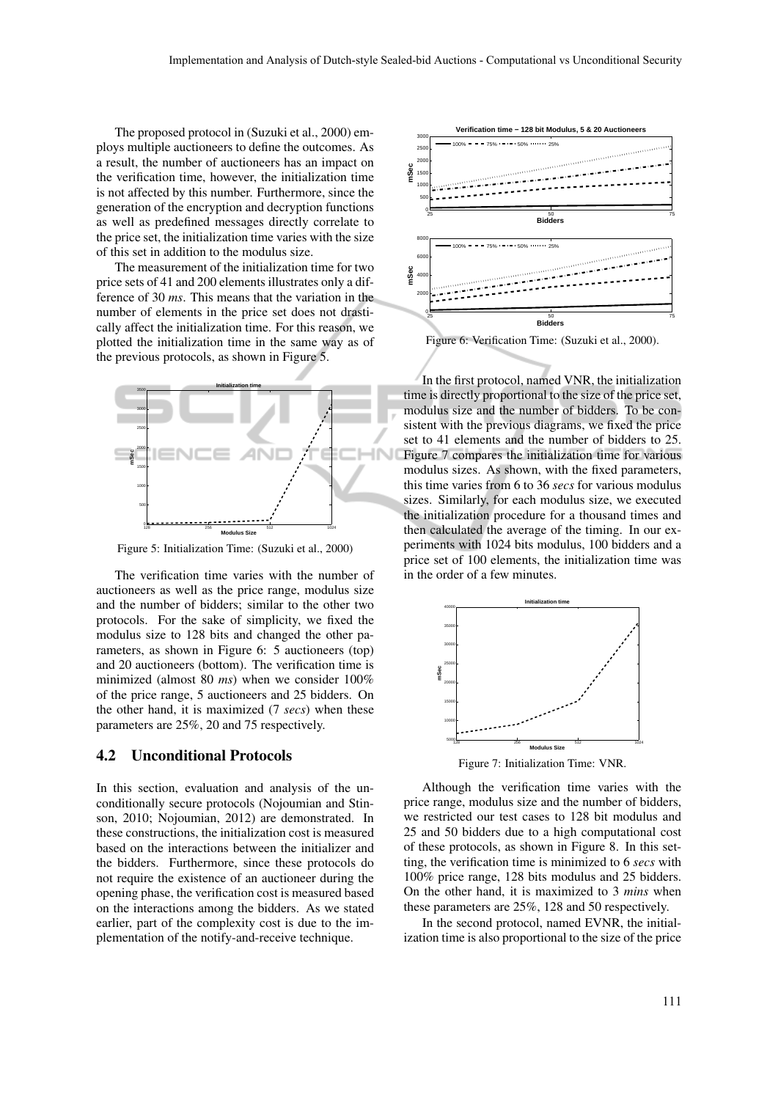The proposed protocol in (Suzuki et al., 2000) employs multiple auctioneers to define the outcomes. As a result, the number of auctioneers has an impact on the verification time, however, the initialization time is not affected by this number. Furthermore, since the generation of the encryption and decryption functions as well as predefined messages directly correlate to the price set, the initialization time varies with the size of this set in addition to the modulus size.

The measurement of the initialization time for two price sets of 41 and 200 elements illustrates only a difference of 30 *ms*. This means that the variation in the number of elements in the price set does not drastically affect the initialization time. For this reason, we plotted the initialization time in the same way as of the previous protocols, as shown in Figure 5.



Figure 5: Initialization Time: (Suzuki et al., 2000)

The verification time varies with the number of auctioneers as well as the price range, modulus size and the number of bidders; similar to the other two protocols. For the sake of simplicity, we fixed the modulus size to 128 bits and changed the other parameters, as shown in Figure 6: 5 auctioneers (top) and 20 auctioneers (bottom). The verification time is minimized (almost 80 *ms*) when we consider 100% of the price range, 5 auctioneers and 25 bidders. On the other hand, it is maximized (7 *secs*) when these parameters are 25%, 20 and 75 respectively.

#### 4.2 Unconditional Protocols

In this section, evaluation and analysis of the unconditionally secure protocols (Nojoumian and Stinson, 2010; Nojoumian, 2012) are demonstrated. In these constructions, the initialization cost is measured based on the interactions between the initializer and the bidders. Furthermore, since these protocols do not require the existence of an auctioneer during the opening phase, the verification cost is measured based on the interactions among the bidders. As we stated earlier, part of the complexity cost is due to the implementation of the notify-and-receive technique.



Figure 6: Verification Time: (Suzuki et al., 2000).

In the first protocol, named VNR, the initialization time is directly proportional to the size of the price set, modulus size and the number of bidders. To be consistent with the previous diagrams, we fixed the price set to 41 elements and the number of bidders to 25. Figure 7 compares the initialization time for various modulus sizes. As shown, with the fixed parameters, this time varies from 6 to 36 *secs* for various modulus sizes. Similarly, for each modulus size, we executed the initialization procedure for a thousand times and then calculated the average of the timing. In our experiments with 1024 bits modulus, 100 bidders and a price set of 100 elements, the initialization time was in the order of a few minutes.



Figure 7: Initialization Time: VNR.

Although the verification time varies with the price range, modulus size and the number of bidders, we restricted our test cases to 128 bit modulus and 25 and 50 bidders due to a high computational cost of these protocols, as shown in Figure 8. In this setting, the verification time is minimized to 6 *secs* with 100% price range, 128 bits modulus and 25 bidders. On the other hand, it is maximized to 3 *mins* when these parameters are 25%, 128 and 50 respectively.

In the second protocol, named EVNR, the initialization time is also proportional to the size of the price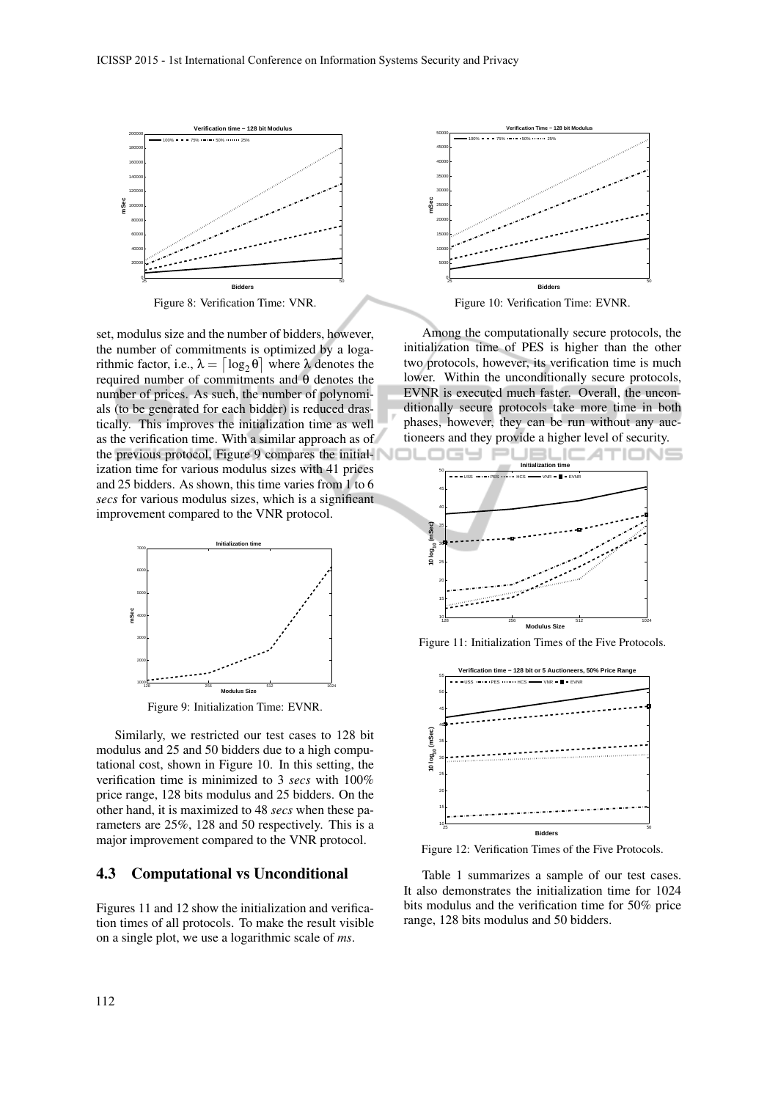

Figure 8: Verification Time: VNR.

set, modulus size and the number of bidders, however, the number of commitments is optimized by a logarithmic factor, i.e.,  $\lambda = \lceil \log_2 \theta \rceil$  where λ denotes the required number of commitments and θ denotes the number of prices. As such, the number of polynomials (to be generated for each bidder) is reduced drastically. This improves the initialization time as well as the verification time. With a similar approach as of the previous protocol, Figure 9 compares the initialization time for various modulus sizes with 41 prices and 25 bidders. As shown, this time varies from 1 to 6 *secs* for various modulus sizes, which is a significant improvement compared to the VNR protocol.



Figure 9: Initialization Time: EVNR.

Similarly, we restricted our test cases to 128 bit modulus and 25 and 50 bidders due to a high computational cost, shown in Figure 10. In this setting, the verification time is minimized to 3 *secs* with 100% price range, 128 bits modulus and 25 bidders. On the other hand, it is maximized to 48 *secs* when these parameters are 25%, 128 and 50 respectively. This is a major improvement compared to the VNR protocol.

#### 4.3 Computational vs Unconditional

Figures 11 and 12 show the initialization and verification times of all protocols. To make the result visible on a single plot, we use a logarithmic scale of *ms*.



Figure 10: Verification Time: EVNR.

Among the computationally secure protocols, the initialization time of PES is higher than the other two protocols, however, its verification time is much lower. Within the unconditionally secure protocols, EVNR is executed much faster. Overall, the unconditionally secure protocols take more time in both phases, however, they can be run without any auctioneers and they provide a higher level of security.



Figure 11: Initialization Times of the Five Protocols.



Figure 12: Verification Times of the Five Protocols.

Table 1 summarizes a sample of our test cases. It also demonstrates the initialization time for 1024 bits modulus and the verification time for 50% price range, 128 bits modulus and 50 bidders.